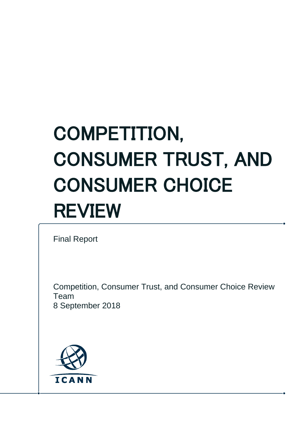# COMPETITION, CONSUMER TRUST, AND CONSUMER CHOICE REVIEW

Final Report

Competition, Consumer Trust, and Consumer Choice Review Team 8 September 2018

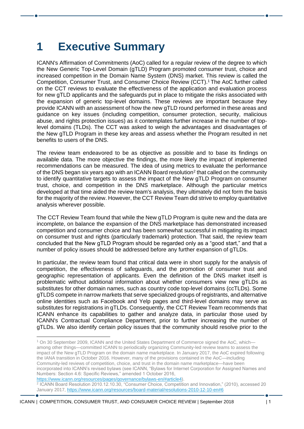# **1 Executive Summary**

ICANN's Affirmation of Commitments (AoC) called for a regular review of the degree to which the New Generic Top-Level Domain (gTLD) Program promoted consumer trust, choice and increased competition in the Domain Name System (DNS) market. This review is called the Competition, Consumer Trust, and Consumer Choice Review (CCT).<sup>1</sup> The AoC further called on the CCT reviews to evaluate the effectiveness of the application and evaluation process for new gTLD applicants and the safeguards put in place to mitigate the risks associated with the expansion of generic top-level domains. These reviews are important because they provide ICANN with an assessment of how the new gTLD round performed in these areas and guidance on key issues (including competition, consumer protection, security, malicious abuse, and rights protection issues) as it contemplates further increase in the number of toplevel domains (TLDs). The CCT was asked to weigh the advantages and disadvantages of the New gTLD Program in these key areas and assess whether the Program resulted in net benefits to users of the DNS.

The review team endeavored to be as objective as possible and to base its findings on available data. The more objective the findings, the more likely the impact of implemented recommendations can be measured. The idea of using metrics to evaluate the performance of the DNS began six years ago with an ICANN Board resolution<sup>2</sup> that called on the community to identify quantitative targets to assess the impact of the New gTLD Program on consumer trust, choice, and competition in the DNS marketplace. Although the particular metrics developed at that time aided the review team's analysis, they ultimately did not form the basis for the majority of the review. However, the CCT Review Team did strive to employ quantitative analysis wherever possible.

The CCT Review Team found that while the New gTLD Program is quite new and the data are incomplete, on balance the expansion of the DNS marketplace has demonstrated increased competition and consumer choice and has been somewhat successful in mitigating its impact on consumer trust and rights (particularly trademark) protection. That said, the review team concluded that the New gTLD Program should be regarded only as a "good start," and that a number of policy issues should be addressed before any further expansion of gTLDs.

In particular, the review team found that critical data were in short supply for the analysis of competition, the effectiveness of safeguards, and the promotion of consumer trust and geographic representation of applicants. Even the definition of the DNS market itself is problematic without additional information about whether consumers view new gTLDs as substitutes for other domain names, such as country code top-level domains (ccTLDs). Some gTLDS compete in narrow markets that serve specialized groups of registrants, and alternative online identities such as Facebook and Yelp pages and third-level domains may serve as substitutes for registrations in gTLDs. Consequently, the CCT Review Team recommends that ICANN enhance its capabilities to gather and analyze data, in particular those used by ICANN's Contractual Compliance Department, prior to further increasing the number of gTLDs. We also identify certain policy issues that the community should resolve prior to the

[https://www.icann.org/resources/pages/governance/bylaws-en/#article4\)](https://www.icann.org/resources/pages/governance/bylaws-en/#article4).

<sup>1</sup> On 30 September 2009, ICANN and the United States Department of Commerce signed the AoC, which among other things—committed ICANN to periodically organizing Community-led review teams to assess the impact of the New gTLD Program on the domain name marketplace. In January 2017, the AoC expired following the IANA transition in October 2016. However, many of the provisions contained in the AoC—including Community-led reviews of competition, choice, and trust in the domain name marketplace—have been incorporated into ICANN's revised bylaws (see ICANN, "Bylaws for Internet Corporation for Assigned Names and Numbers: Section 4.6: Specific Reviews," amended 1 October 2016,

<sup>2</sup> ICANN Board Resolution 2010.12.10.30, "Consumer Choice, Competition and Innovation," (2010), accessed 20 January 2017,<https://www.icann.org/resources/board-material/resolutions-2010-12-10-en#6>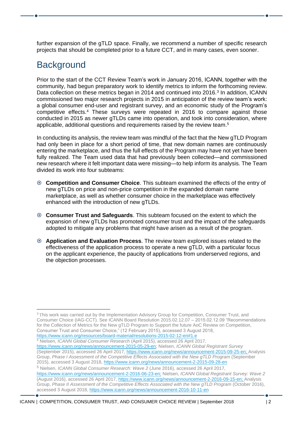further expansion of the gTLD space. Finally, we recommend a number of specific research projects that should be completed prior to a future CCT, and in many cases, even sooner.

#### **Background**

Prior to the start of the CCT Review Team's work in January 2016, ICANN, together with the community, had begun preparatory work to identify metrics to inform the forthcoming review. Data collection on these metrics began in 2014 and continued into 2016.<sup>3</sup> In addition, ICANN commissioned two major research projects in 2015 in anticipation of the review team's work: a global consumer end-user and registrant survey, and an economic study of the Program's competitive effects.<sup>4</sup> These surveys were repeated in 2016 to compare against those conducted in 2015 as newer gTLDs came into operation, and took into consideration, where applicable, additional questions and requirements raised by the review team. 5

In conducting its analysis, the review team was mindful of the fact that the New gTLD Program had only been in place for a short period of time, that new domain names are continuously entering the marketplace, and thus the full effects of the Program may have not yet have been fully realized. The Team used data that had previously been collected—and commissioned new research where it felt important data were missing—to help inform its analysis. The Team divided its work into four subteams:

- **Competition and Consumer Choice**. This subteam examined the effects of the entry of new gTLDs on price and non-price competition in the expanded domain name marketplace, as well as whether consumer choice in the marketplace was effectively enhanced with the introduction of new gTLDs.
- **Consumer Trust and Safeguards**. This subteam focused on the extent to which the expansion of new gTLDs has promoted consumer trust and the impact of the safeguards adopted to mitigate any problems that might have arisen as a result of the program.
- **Application and Evaluation Process**. The review team explored issues related to the effectiveness of the application process to operate a new gTLD, with a particular focus on the applicant experience, the paucity of applications from underserved regions, and the objection processes.

<sup>3</sup> This work was carried out by the Implementation Advisory Group for Competition, Consumer Trust, and Consumer Choice (IAG-CCT). See ICANN Board Resolution 2015.02.12.07 – 2015.02.12.09 "Recommendations for the Collection of Metrics for the New gTLD Program to Support the future AoC Review on Competition, Consumer Trust and Consumer Choice," (12 February 2015), accessed 3 August 2018, <https://www.icann.org/resources/board-material/resolutions-2015-02-12-en#1.e> <sup>4</sup> Nielsen, *ICANN Global Consumer Research* (April 2015), accessed 26 April 2017, [https://www.icann.org/news/announcement-2015-05-29-en;](https://www.icann.org/news/announcement-2015-05-29-en) Nielsen, *ICANN Global Registrant Survey* (September 2015), accessed 26 April 2017, [https://www.icann.org/news/announcement-2015-09-25-en;](https://www.icann.org/news/announcement-2015-09-25-en) Analysis Group, *Phase I Assessment of the Competitive Effects Associated with the New gTLD Program* (September 2015), accessed 3 August 2018[, https://www.icann.org/news/announcement-2-2015-09-28-en](https://www.icann.org/news/announcement-2-2015-09-28-en) <sup>5</sup> Nielsen, *ICANN Global Consumer Research: Wave 2* (June 2016), accessed 26 April 2017, [https://www.icann.org/news/announcement-2-2016-06-23-en;](https://www.icann.org/news/announcement-2-2016-06-23-en) Nielsen, *ICANN Global Registrant Survey: Wave 2* (August 2016), accessed 26 April 2017, [https://www.icann.org/news/announcement-2-2016-09-15-en;](https://www.icann.org/news/announcement-2-2016-09-15-en) Analysis Group, *Phase II Assessment of the Competitive Effects Associated with the New gTLD Program* (October 2016), accessed 3 August 2018[, https://www.icann.org/news/announcement-2016-10-11-en](https://www.icann.org/news/announcement-2016-10-11-en)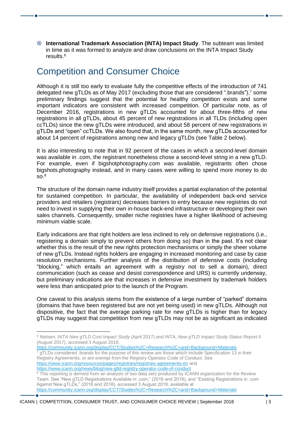**International Trademark Association (INTA) Impact Study**. The subteam was limited in time as it was formed to analyze and draw conclusions on the INTA Impact Study results.<sup>6</sup>

#### Competition and Consumer Choice

Although it is still too early to evaluate fully the competitive effects of the introduction of 741 delegated new gTLDs as of May 2017 (excluding those that are considered ".brands"),<sup>7</sup> some preliminary findings suggest that the potential for healthy competition exists and some important indicators are consistent with increased competition. Of particular note, as of December 2016, registrations in new gTLDs accounted for about three-fifths of new registrations in all gTLDs, about 45 percent of new registrations in all TLDs (including open ccTLDs) since the new gTLDs were introduced, and about 58 percent of new registrations in gTLDs and "open" ccTLDs. We also found that, in the same month, new gTLDs accounted for about 14 percent of registrations among new and legacy gTLDs (see Table 2 below).

It is also interesting to note that in 92 percent of the cases in which a second-level domain was available in .com, the registrant nonetheless chose a second-level string in a new gTLD. For example, even if bigshotphotography.com was available, registrants often chose bigshots.photography instead, and in many cases were willing to spend more money to do  $\overline{SO}^8$ 

The structure of the domain name industry itself provides a partial explanation of the potential for sustained competition. In particular, the availability of independent back-end service providers and retailers (registrars) decreases barriers to entry because new registries do not need to invest in supplying their own in-house back-end infrastructure or developing their own sales channels. Consequently, smaller niche registries have a higher likelihood of achieving minimum viable scale.

Early indications are that right holders are less inclined to rely on defensive registrations (i.e., registering a domain simply to prevent others from doing so) than in the past. It's not clear whether this is the result of the new rights protection mechanisms or simply the sheer volume of new gTLDs. Instead rights holders are engaging in increased monitoring and case by case resolution mechanisms. Further analysis of the distribution of defensive costs (including "blocking," which entails an agreement with a registry not to sell a domain), direct communication (such as cease and desist correspondence and URS) is currently underway, but preliminary indications are that increases in defensive investment by trademark holders were less than anticipated prior to the launch of the Program.

One caveat to this analysis stems from the existence of a large number of "parked" domains (domains that have been registered but are not yet being used) in new gTLDs. Although not dispositive, the fact that the average parking rate for new gTLDs is higher than for legacy gTLDs may suggest that competition from new gTLDs may not be as significant as indicated

<https://community.icann.org/display/CCT/Studies%2C+Research%2C+and+Background+Materials> gTLDs considered .brands for the purpose of this review are those which include Specification 13 in their Registry Agreements, or are exempt from the Registry Operator Code of Conduct. See <https://www.icann.org/resources/pages/registries/registries-agreements-en> and <https://www.icann.org/news/blog/new-gtld-registry-operator-code-of-conduct>

<sup>6</sup> Nielsen, *INTA New gTLD Cost Impact Study* (April 2017) and INTA, *New gTLD Impact Study Status Report II*  (August 2017), accessed 3 August 2018,

<sup>&</sup>lt;sup>8</sup> This reporting is derived from an analysis of two data sets produced by ICANN organization for the Review Team. See "New gTLD Registrations Available in .com," (2016 and 2018), and "Existing Registrations in .com Against New gTLDs," (2016 and 2018), accessed 3 August 2018, available at <https://community.icann.org/display/CCT/Studies%2C+Research%2C+and+Background+Materials>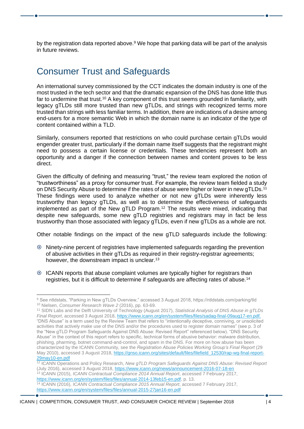by the registration data reported above.<sup>9</sup> We hope that parking data will be part of the analysis in future reviews.

### Consumer Trust and Safeguards

An international survey commissioned by the CCT indicates the domain industry is one of the most trusted in the tech sector and that the dramatic expansion of the DNS has done little thus far to undermine that trust.<sup>10</sup> A key component of this trust seems grounded in familiarity, with legacy gTLDs still more trusted than new gTLDs, and strings with recognized terms more trusted than strings with less familiar terms. In addition, there are indications of a desire among end-users for a more semantic Web in which the domain name is an indicator of the type of content contained within a TLD.

Similarly, consumers reported that restrictions on who could purchase certain gTLDs would engender greater trust, particularly if the domain name itself suggests that the registrant might need to possess a certain license or credentials. These tendencies represent both an opportunity and a danger if the connection between names and content proves to be less direct.

Given the difficulty of defining and measuring "trust," the review team explored the notion of "trustworthiness" as a proxy for consumer trust. For example, the review team fielded a study on DNS Security Abuse to determine if the rates of abuse were higher or lower in new gTLDs.<sup>11</sup> These findings were used to analyze whether or not new gTLDs were inherently less trustworthy than legacy gTLDs, as well as to determine the effectiveness of safeguards implemented as part of the New gTLD Program.<sup>12</sup> The results were mixed, indicating that despite new safeguards, some new gTLD registries and registrars may in fact be less trustworthy than those associated with legacy gTLDs, even if new gTLDs as a whole are not.

Other notable findings on the impact of the new gTLD safeguards include the following:

- Ninety-nine percent of registries have implemented safeguards regarding the prevention of abusive activities in their gTLDs as required in their registry-registrar agreements; however, the downstream impact is unclear.<sup>13</sup>
- $\odot$  ICANN reports that abuse complaint volumes are typically higher for registrars than registries, but it is difficult to determine if safeguards are affecting rates of abuse.<sup>14</sup>

<sup>9</sup> See ntldstats, "Parking in New gTLDs Overview," accessed 3 August 2018, https://ntldstats.com/parking/tld <sup>10</sup> Nielsen, *Consumer Research Wave 2* (2016), pp. 63-69.

<sup>11</sup> SIDN Labs and the Delft University of Technology (August 2017), *Statistical Analysis of DNS Abuse in gTLDs Final Report*, accessed 3 August 2018[, https://www.icann.org/en/system/files/files/sadag-final-09aug17-en.pdf.](https://www.icann.org/en/system/files/files/sadag-final-09aug17-en.pdf) "DNS Abuse" is a term used by the Review Team that refers to "intentionally deceptive, conniving, or unsolicited activities that actively make use of the DNS and/or the procedures used to register domain names" (see p. 3 of the "New gTLD Program Safeguards Against DNS Abuse: Revised Report" referenced below). "DNS Security Abuse" in the context of this report refers to specific, technical forms of abusive behavior: malware distribution, phishing, pharming, botnet command-and-control, and spam in the DNS. For more on how abuse has been characterized by the ICANN Community, see the *Registration Abuse Policies Working Group's Final Report* (29 May 2010), accessed 3 August 2018, https://gnso.icann.org/sites/default/files/filefield\_12530/rap-wg-final-report-29may10-en.pdf

<sup>12</sup> ICANN Operations and Policy Research, *New gTLD Program Safeguards Against DNS Abuse: Revised Report* (July 2016), accessed 3 August 2018,<https://www.icann.org/news/announcement-2016-07-18-en> <sup>13</sup> ICANN (2015), *ICANN Contractual Compliance 2014 Annual Report*, accessed 7 February 2017, [https://www.icann.org/en/system/files/files/annual-2014-13feb15-en.pdf,](https://www.icann.org/en/system/files/files/annual-2014-13feb15-en.pdf) p. 13. <sup>14</sup> ICANN (2016), *ICANN Contractual Compliance 2015 Annual Report*, accessed 7 February 2017, <https://www.icann.org/en/system/files/files/annual-2015-27jan16-en.pdf>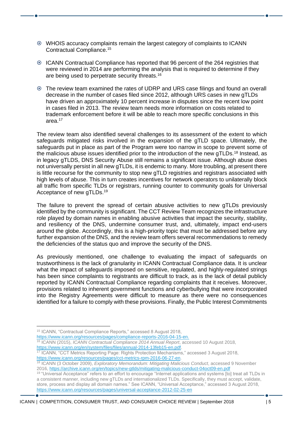- WHOIS accuracy complaints remain the largest category of complaints to ICANN Contractual Compliance.<sup>15</sup>
- ICANN Contractual Compliance has reported that 96 percent of the 264 registries that were reviewed in 2014 are performing the analysis that is required to determine if they are being used to perpetrate security threats.<sup>16</sup>
- The review team examined the rates of UDRP and URS case filings and found an overall decrease in the number of cases filed since 2012, although URS cases in new gTLDs have driven an approximately 10 percent increase in disputes since the recent low point in cases filed in 2013. The review team needs more information on costs related to trademark enforcement before it will be able to reach more specific conclusions in this area.<sup>17</sup>

The review team also identified several challenges to its assessment of the extent to which safeguards mitigated risks involved in the expansion of the gTLD space. Ultimately, the safeguards put in place as part of the Program were too narrow in scope to prevent some of the malicious abuse issues identified prior to the introduction of the new gTLDs.<sup>18</sup> Instead, as in legacy gTLDS, DNS Security Abuse still remains a significant issue. Although abuse does not universally persist in all new gTLDs, it is endemic to many. More troubling, at present there is little recourse for the community to stop new gTLD registries and registrars associated with high levels of abuse. This in turn creates incentives for network operators to unilaterally block all traffic from specific TLDs or registrars, running counter to community goals for Universal Acceptance of new gTLDs.<sup>19</sup>

The failure to prevent the spread of certain abusive activities to new gTLDs previously identified by the community is significant. The CCT Review Team recognizes the infrastructure role played by domain names in enabling abusive activities that impact the security, stability, and resiliency of the DNS, undermine consumer trust, and, ultimately, impact end-users around the globe. Accordingly, this is a high-priority topic that must be addressed before any further expansion of the DNS, and the review team offers several recommendations to remedy the deficiencies of the status quo and improve the security of the DNS.

As previously mentioned, one challenge to evaluating the impact of safeguards on trustworthiness is the lack of granularity in ICANN Contractual Compliance data. It is unclear what the impact of safeguards imposed on sensitive, regulated, and highly-regulated strings has been since complaints to registrants are difficult to track, as is the lack of detail publicly reported by ICANN Contractual Compliance regarding complaints that it receives. Moreover, provisions related to inherent government functions and cyberbullying that were incorporated into the Registry Agreements were difficult to measure as there were no consequences identified for a failure to comply with these provisions. Finally, the Public Interest Commitments

<sup>&</sup>lt;sup>15</sup> ICANN, "Contractual Compliance Reports," accessed 8 August 2018,

[https://www.icann.org/resources/pages/compliance-reports-2016-04-15-en.](https://www.icann.org/resources/pages/compliance-reports-2016-04-15-en)

<sup>16</sup> ICANN (2015), *ICANN Contractual Compliance 2014 Annual Report*, accessed 10 August 2018, [https://www.icann.org/en/system/files/files/annual-2014-13feb15-en.pdf.](https://www.icann.org/en/system/files/files/annual-2014-13feb15-en.pdf)

<sup>17</sup> ICANN, "CCT Metrics Reporting Page: Rights Protection Mechanisms," accessed 3 August 2018, [https://www.icann.org/resources/pages/cct-metrics-rpm-2016-06-27-en.](https://www.icann.org/resources/pages/cct-metrics-rpm-2016-06-27-en)

<sup>18</sup> ICANN (3 October 2009), *Exploratory Memorandum: Mitigating Malicious Conduct*, accessed 9 November 2016,<https://archive.icann.org/en/topics/new-gtlds/mitigating-malicious-conduct-04oct09-en.pdf>

<sup>19</sup> "Universal Acceptance" refers to an effort to encourage "Internet applications and systems [to] treat all TLDs in a consistent manner, including new gTLDs and internationalized TLDs. Specifically, they must accept, validate, store, process and display all domain names." See ICANN, "Universal Acceptance," accessed 3 August 2018, <https://www.icann.org/resources/pages/universal-acceptance-2012-02-25-en>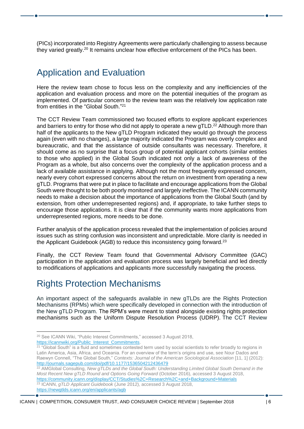(PICs) incorporated into Registry Agreements were particularly challenging to assess because they varied greatly.<sup>20</sup> It remains unclear how effective enforcement of the PICs has been.

#### Application and Evaluation

Here the review team chose to focus less on the complexity and any inefficiencies of the application and evaluation process and more on the potential inequities of the program as implemented. Of particular concern to the review team was the relatively low application rate from entities in the "Global South." 21

The CCT Review Team commissioned two focused efforts to explore applicant experiences and barriers to entry for those who did not apply to operate a new gTLD.<sup>22</sup> Although more than half of the applicants to the New gTLD Program indicated they would go through the process again (even with no changes), a large majority indicated the Program was overly complex and bureaucratic, and that the assistance of outside consultants was necessary. Therefore, it should come as no surprise that a focus group of potential applicant cohorts (similar entities to those who applied) in the Global South indicated not only a lack of awareness of the Program as a whole, but also concerns over the complexity of the application process and a lack of available assistance in applying. Although not the most frequently expressed concern, nearly every cohort expressed concerns about the return on investment from operating a new gTLD. Programs that were put in place to facilitate and encourage applications from the Global South were thought to be both poorly monitored and largely ineffective. The ICANN community needs to make a decision about the importance of applications from the Global South (and by extension, from other underrepresented regions) and, if appropriate, to take further steps to encourage those applications. It is clear that if the community wants more applications from underrepresented regions, more needs to be done.

Further analysis of the application process revealed that the implementation of policies around issues such as string confusion was inconsistent and unpredictable. More clarity is needed in the Applicant Guidebook (AGB) to reduce this inconsistency going forward.<sup>23</sup>

Finally, the CCT Review Team found that Governmental Advisory Committee (GAC) participation in the application and evaluation process was largely beneficial and led directly to modifications of applications and applicants more successfully navigating the process.

# Rights Protection Mechanisms

An important aspect of the safeguards available in new gTLDs are the Rights Protection Mechanisms (RPMs) which were specifically developed in connection with the introduction of the New gTLD Program. The RPM's were meant to stand alongside existing rights protection mechanisms such as the Uniform Dispute Resolution Process (UDRP). The CCT Review

<sup>&</sup>lt;sup>20</sup> See ICANN Wiki, "Public Interest Commitments," accessed 3 August 2018, [https://icannwiki.org/Public\\_Interest\\_Commitments.](https://icannwiki.org/Public_Interest_Commitments)

<sup>&</sup>lt;sup>21</sup> "Global South" is a fluid and sometimes contested term used by social scientists to refer broadly to regions in Latin America, Asia, Africa, and Oceania. For an overview of the term's origins and use, see Nour Dados and Raewyn Connell, "The Global South," Contexts: Journal of the American Sociological Association [11, 1] (2012): <http://journals.sagepub.com/doi/pdf/10.1177/1536504212436479>

<sup>22</sup> AMGlobal Consulting, *New gTLDs and the Global South: Understanding Limited Global South Demand in the Most Recent New gTLD Round and Options Going Forward* (October 2016), accessed 3 August 2018, https://community.icann.org/display/CCT/Studies%2C+Research%2C+and+Background+Materials <sup>23</sup> ICANN, *gTLD Applicant Guidebook* (June 2012), accessed 3 August 2018, <https://newgtlds.icann.org/en/applicants/agb>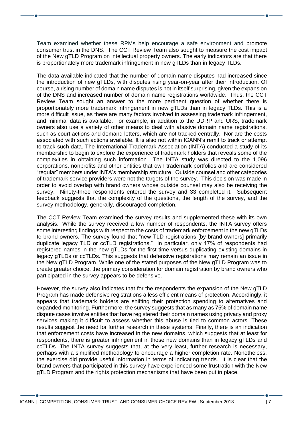Team examined whether these RPMs help encourage a safe environment and promote consumer trust in the DNS. The CCT Review Team also sought to measure the cost impact of the New gTLD Program on intellectual property owners. The early indicators are that there is proportionately more trademark infringement in new gTLDs than in legacy TLDs.

The data available indicated that the number of domain name disputes had increased since the introduction of new gTLDs, with disputes rising year-on-year after their introduction. Of course, a rising number of domain name disputes is not in itself surprising, given the expansion of the DNS and increased number of domain name registrations worldwide. Thus, the CCT Review Team sought an answer to the more pertinent question of whether there is proportionately more trademark infringement in new gTLDs than in legacy TLDs. This is a more difficult issue, as there are many factors involved in assessing trademark infringement, and minimal data is available. For example, in addition to the UDRP and URS, trademark owners also use a variety of other means to deal with abusive domain name registrations, such as court actions and demand letters, which are not tracked centrally. Nor are the costs associated with such actions available. It is also not within ICANN's remit to track or attempt to track such data. The International Trademark Association (INTA) conducted a study of its membership to begin to explore the experience of trademark holders that reveals some of the complexities in obtaining such information. The INTA study was directed to the 1,096 corporations, nonprofits and other entities that own trademark portfolios and are considered "regular" members under INTA's membership structure. Outside counsel and other categories of trademark service providers were not the targets of the survey. This decision was made in order to avoid overlap with brand owners whose outside counsel may also be receiving the survey. Ninety-three respondents entered the survey and 33 completed it. Subsequent feedback suggests that the complexity of the questions, the length of the survey, and the survey methodology, generally, discouraged completion.

The CCT Review Team examined the survey results and supplemented these with its own analysis. While the survey received a low number of respondents, the INTA survey offers some interesting findings with respect to the costs of trademark enforcement in the new gTLDs to brand owners. The survey found that "new TLD registrations [by brand owners] primarily duplicate legacy TLD or ccTLD registrations." In particular, only 17% of respondents had registered names in the new gTLDs for the first time versus duplicating existing domains in legacy gTLDs or ccTLDs. This suggests that defensive registrations may remain an issue in the New gTLD Program. While one of the stated purposes of the New gTLD Program was to create greater choice, the primary consideration for domain registration by brand owners who participated in the survey appears to be defensive.

However, the survey also indicates that for the respondents the expansion of the New gTLD Program has made defensive registrations a less efficient means of protection. Accordingly, it appears that trademark holders are shifting their protection spending to alternatives and expanded monitoring. Furthermore, the survey suggests that as many as 75% of domain name dispute cases involve entities that have registered their domain names using privacy and proxy services making it difficult to assess whether this abuse is tied to common actors. These results suggest the need for further research in these systems. Finally, there is an indication that enforcement costs have increased in the new domains, which suggests that at least for respondents, there is greater infringement in those new domains than in legacy gTLDs and ccTLDs. The INTA survey suggests that, at the very least, further research is necessary, perhaps with a simplified methodology to encourage a higher completion rate. Nonetheless, the exercise did provide useful information in terms of indicating trends. It is clear that the brand owners that participated in this survey have experienced some frustration with the New gTLD Program and the rights protection mechanisms that have been put in place.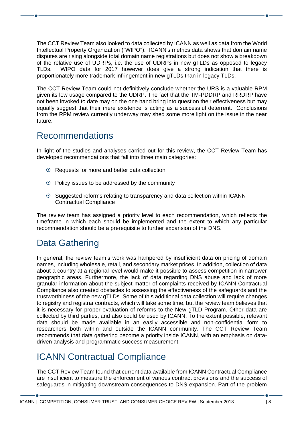The CCT Review Team also looked to data collected by ICANN as well as data from the World Intellectual Property Organization ("WIPO"). ICANN's metrics data shows that domain name disputes are rising alongside total domain name registrations but does not show a breakdown of the relative use of UDRPs, i.e. the use of UDRPs in new gTLDs as opposed to legacy TLDs. WIPO data for 2017 however does give a strong indication that there is proportionately more trademark infringement in new gTLDs than in legacy TLDs.

The CCT Review Team could not definitively conclude whether the URS is a valuable RPM given its low usage compared to the UDRP. The fact that the TM-PDDRP and RRDRP have not been invoked to date may on the one hand bring into question their effectiveness but may equally suggest that their mere existence is acting as a successful deterrent. Conclusions from the RPM review currently underway may shed some more light on the issue in the near future.

## Recommendations

In light of the studies and analyses carried out for this review, the CCT Review Team has developed recommendations that fall into three main categories:

- Requests for more and better data collection
- $\odot$  Policy issues to be addressed by the community
- Suggested reforms relating to transparency and data collection within ICANN Contractual Compliance

The review team has assigned a priority level to each recommendation, which reflects the timeframe in which each should be implemented and the extent to which any particular recommendation should be a prerequisite to further expansion of the DNS.

# Data Gathering

In general, the review team's work was hampered by insufficient data on pricing of domain names, including wholesale, retail, and secondary market prices. In addition, collection of data about a country at a regional level would make it possible to assess competition in narrower geographic areas. Furthermore, the lack of data regarding DNS abuse and lack of more granular information about the subject matter of complaints received by ICANN Contractual Compliance also created obstacles to assessing the effectiveness of the safeguards and the trustworthiness of the new gTLDs. Some of this additional data collection will require changes to registry and registrar contracts, which will take some time, but the review team believes that it is necessary for proper evaluation of reforms to the New gTLD Program. Other data are collected by third parties, and also could be used by ICANN. To the extent possible, relevant data should be made available in an easily accessible and non-confidential form to researchers both within and outside the ICANN community. The CCT Review Team recommends that data gathering become a priority inside ICANN, with an emphasis on datadriven analysis and programmatic success measurement.

# ICANN Contractual Compliance

The CCT Review Team found that current data available from ICANN Contractual Compliance are insufficient to measure the enforcement of various contract provisions and the success of safeguards in mitigating downstream consequences to DNS expansion. Part of the problem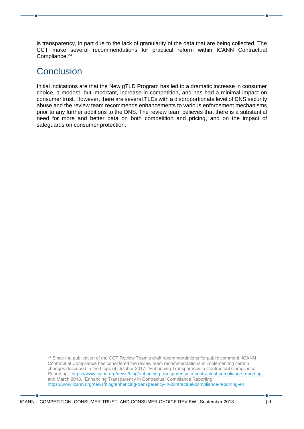is transparency, in part due to the lack of granularity of the data that are being collected. The CCT make several recommendations for practical reform within ICANN Contractual Compliance.<sup>24</sup>

#### **Conclusion**

Initial indications are that the New gTLD Program has led to a dramatic increase in consumer choice, a modest, but important, increase in competition, and has had a minimal impact on consumer trust. However, there are several TLDs with a disproportionate level of DNS security abuse and the review team recommends enhancements to various enforcement mechanisms prior to any further additions to the DNS. The review team believes that there is a substantial need for more and better data on both competition and pricing, and on the impact of safeguards on consumer protection.

<sup>&</sup>lt;sup>24</sup> Since the publication of the CCT Review Team's draft recommendations for public comment, ICANN Contractual Compliance has considered the review team recommendations in implementing certain changes described in the blogs of October 2017, "Enhancing Transparency in Contractual Compliance Reporting," [https://www.icann.org/news/blog/enhancing-transparency-in-contractual-compliance-reporting,](https://www.icann.org/news/blog/enhancing-transparency-in-contractual-compliance-reporting) and March 2018, "Enhancing Transparency in Contractual Compliance Reporting, [https://www.icann.org/news/blog/enhancing-transparency-in-contractual-compliance-reporting-en.](https://www.icann.org/news/blog/enhancing-transparency-in-contractual-compliance-reporting-en)